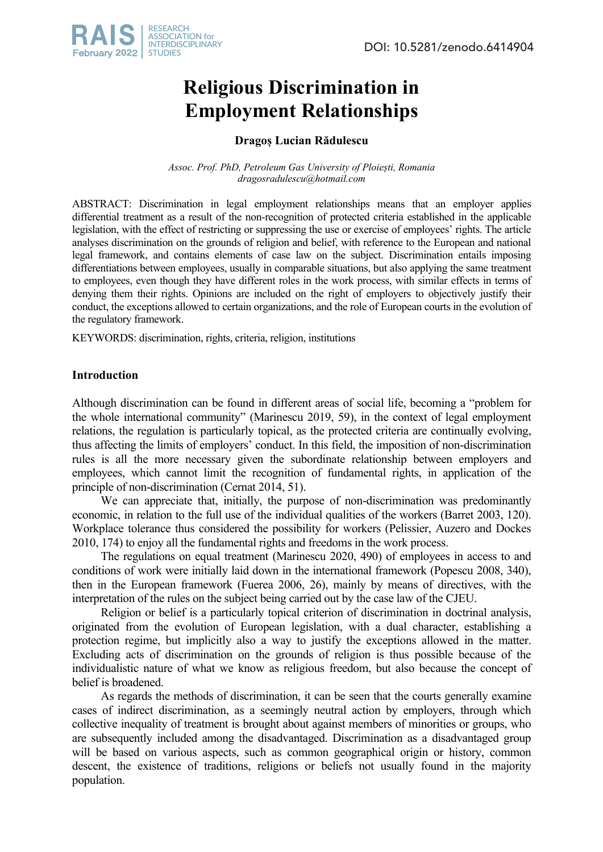

# **Religious Discrimination in Employment Relationships**

# **Dragoș Lucian Rădulescu**

*Assoc. Prof. PhD, Petroleum Gas University of Ploiești, Romania dragosradulescu@hotmail.com* 

ABSTRACT: Discrimination in legal employment relationships means that an employer applies differential treatment as a result of the non-recognition of protected criteria established in the applicable legislation, with the effect of restricting or suppressing the use or exercise of employees' rights. The article analyses discrimination on the grounds of religion and belief, with reference to the European and national legal framework, and contains elements of case law on the subject. Discrimination entails imposing differentiations between employees, usually in comparable situations, but also applying the same treatment to employees, even though they have different roles in the work process, with similar effects in terms of denying them their rights. Opinions are included on the right of employers to objectively justify their conduct, the exceptions allowed to certain organizations, and the role of European courts in the evolution of the regulatory framework.

KEYWORDS: discrimination, rights, criteria, religion, institutions

# **Introduction**

Although discrimination can be found in different areas of social life, becoming a "problem for the whole international community" (Marinescu 2019, 59), in the context of legal employment relations, the regulation is particularly topical, as the protected criteria are continually evolving, thus affecting the limits of employers' conduct. In this field, the imposition of non-discrimination rules is all the more necessary given the subordinate relationship between employers and employees, which cannot limit the recognition of fundamental rights, in application of the principle of non-discrimination (Cernat 2014, 51).

We can appreciate that, initially, the purpose of non-discrimination was predominantly economic, in relation to the full use of the individual qualities of the workers (Barret 2003, 120). Workplace tolerance thus considered the possibility for workers (Pelissier, Auzero and Dockes 2010, 174) to enjoy all the fundamental rights and freedoms in the work process.

The regulations on equal treatment (Marinescu 2020, 490) of employees in access to and conditions of work were initially laid down in the international framework (Popescu 2008, 340), then in the European framework (Fuerea 2006, 26), mainly by means of directives, with the interpretation of the rules on the subject being carried out by the case law of the CJEU.

Religion or belief is a particularly topical criterion of discrimination in doctrinal analysis, originated from the evolution of European legislation, with a dual character, establishing a protection regime, but implicitly also a way to justify the exceptions allowed in the matter. Excluding acts of discrimination on the grounds of religion is thus possible because of the individualistic nature of what we know as religious freedom, but also because the concept of belief is broadened.

As regards the methods of discrimination, it can be seen that the courts generally examine cases of indirect discrimination, as a seemingly neutral action by employers, through which collective inequality of treatment is brought about against members of minorities or groups, who are subsequently included among the disadvantaged. Discrimination as a disadvantaged group will be based on various aspects, such as common geographical origin or history, common descent, the existence of traditions, religions or beliefs not usually found in the majority population.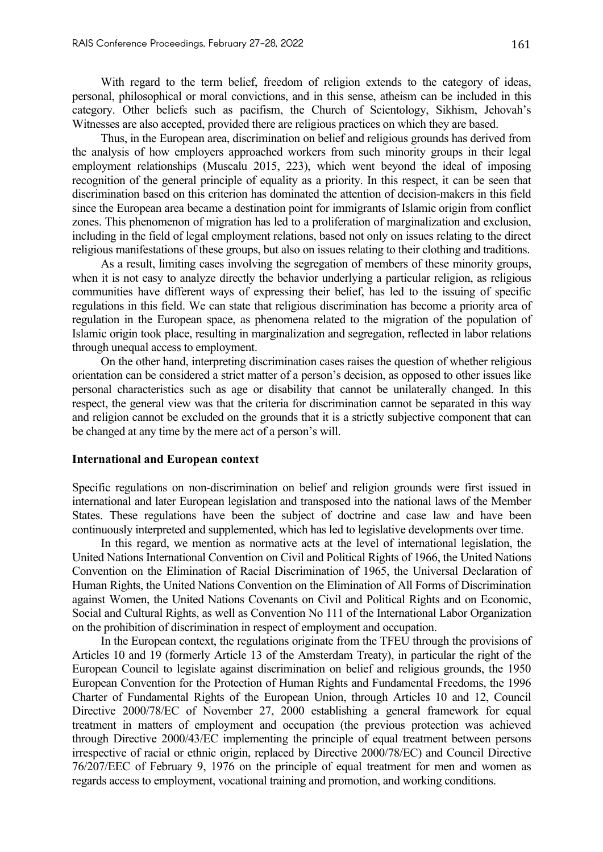With regard to the term belief, freedom of religion extends to the category of ideas, personal, philosophical or moral convictions, and in this sense, atheism can be included in this category. Other beliefs such as pacifism, the Church of Scientology, Sikhism, Jehovah's Witnesses are also accepted, provided there are religious practices on which they are based.

Thus, in the European area, discrimination on belief and religious grounds has derived from the analysis of how employers approached workers from such minority groups in their legal employment relationships (Muscalu 2015, 223), which went beyond the ideal of imposing recognition of the general principle of equality as a priority. In this respect, it can be seen that discrimination based on this criterion has dominated the attention of decision-makers in this field since the European area became a destination point for immigrants of Islamic origin from conflict zones. This phenomenon of migration has led to a proliferation of marginalization and exclusion, including in the field of legal employment relations, based not only on issues relating to the direct religious manifestations of these groups, but also on issues relating to their clothing and traditions.

As a result, limiting cases involving the segregation of members of these minority groups, when it is not easy to analyze directly the behavior underlying a particular religion, as religious communities have different ways of expressing their belief, has led to the issuing of specific regulations in this field. We can state that religious discrimination has become a priority area of regulation in the European space, as phenomena related to the migration of the population of Islamic origin took place, resulting in marginalization and segregation, reflected in labor relations through unequal access to employment.

On the other hand, interpreting discrimination cases raises the question of whether religious orientation can be considered a strict matter of a person's decision, as opposed to other issues like personal characteristics such as age or disability that cannot be unilaterally changed. In this respect, the general view was that the criteria for discrimination cannot be separated in this way and religion cannot be excluded on the grounds that it is a strictly subjective component that can be changed at any time by the mere act of a person's will.

#### **International and European context**

Specific regulations on non-discrimination on belief and religion grounds were first issued in international and later European legislation and transposed into the national laws of the Member States. These regulations have been the subject of doctrine and case law and have been continuously interpreted and supplemented, which has led to legislative developments over time.

In this regard, we mention as normative acts at the level of international legislation, the United Nations International Convention on Civil and Political Rights of 1966, the United Nations Convention on the Elimination of Racial Discrimination of 1965, the Universal Declaration of Human Rights, the United Nations Convention on the Elimination of All Forms of Discrimination against Women, the United Nations Covenants on Civil and Political Rights and on Economic, Social and Cultural Rights, as well as Convention No 111 of the International Labor Organization on the prohibition of discrimination in respect of employment and occupation.

In the European context, the regulations originate from the TFEU through the provisions of Articles 10 and 19 (formerly Article 13 of the Amsterdam Treaty), in particular the right of the European Council to legislate against discrimination on belief and religious grounds, the 1950 European Convention for the Protection of Human Rights and Fundamental Freedoms, the 1996 Charter of Fundamental Rights of the European Union, through Articles 10 and 12, Council Directive 2000/78/EC of November 27, 2000 establishing a general framework for equal treatment in matters of employment and occupation (the previous protection was achieved through Directive 2000/43/EC implementing the principle of equal treatment between persons irrespective of racial or ethnic origin, replaced by Directive 2000/78/EC) and Council Directive 76/207/EEC of February 9, 1976 on the principle of equal treatment for men and women as regards access to employment, vocational training and promotion, and working conditions.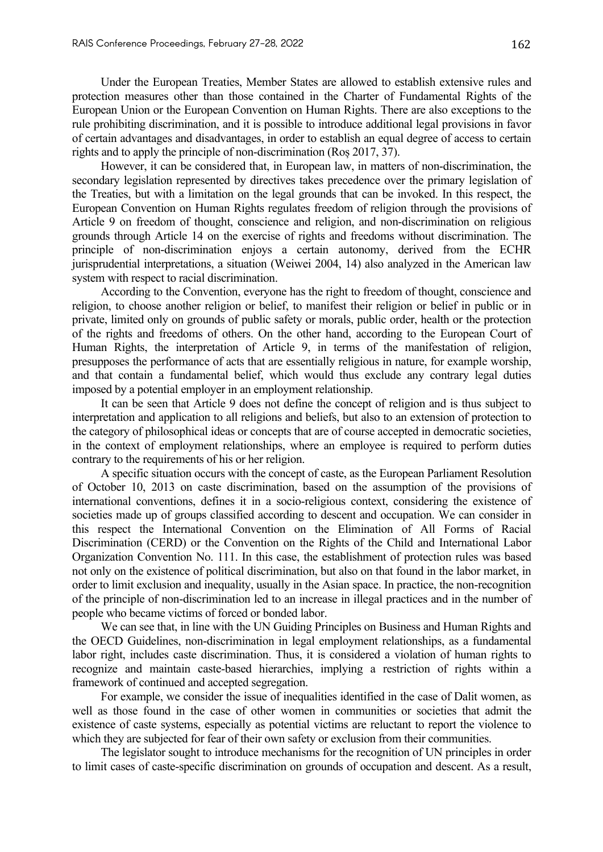Under the European Treaties, Member States are allowed to establish extensive rules and protection measures other than those contained in the Charter of Fundamental Rights of the European Union or the European Convention on Human Rights. There are also exceptions to the rule prohibiting discrimination, and it is possible to introduce additional legal provisions in favor of certain advantages and disadvantages, in order to establish an equal degree of access to certain rights and to apply the principle of non-discrimination (Roș 2017, 37).

However, it can be considered that, in European law, in matters of non-discrimination, the secondary legislation represented by directives takes precedence over the primary legislation of the Treaties, but with a limitation on the legal grounds that can be invoked. In this respect, the European Convention on Human Rights regulates freedom of religion through the provisions of Article 9 on freedom of thought, conscience and religion, and non-discrimination on religious grounds through Article 14 on the exercise of rights and freedoms without discrimination. The principle of non-discrimination enjoys a certain autonomy, derived from the ECHR jurisprudential interpretations, a situation (Weiwei 2004, 14) also analyzed in the American law system with respect to racial discrimination.

According to the Convention, everyone has the right to freedom of thought, conscience and religion, to choose another religion or belief, to manifest their religion or belief in public or in private, limited only on grounds of public safety or morals, public order, health or the protection of the rights and freedoms of others. On the other hand, according to the European Court of Human Rights, the interpretation of Article 9, in terms of the manifestation of religion, presupposes the performance of acts that are essentially religious in nature, for example worship, and that contain a fundamental belief, which would thus exclude any contrary legal duties imposed by a potential employer in an employment relationship.

It can be seen that Article 9 does not define the concept of religion and is thus subject to interpretation and application to all religions and beliefs, but also to an extension of protection to the category of philosophical ideas or concepts that are of course accepted in democratic societies, in the context of employment relationships, where an employee is required to perform duties contrary to the requirements of his or her religion.

A specific situation occurs with the concept of caste, as the European Parliament Resolution of October 10, 2013 on caste discrimination, based on the assumption of the provisions of international conventions, defines it in a socio-religious context, considering the existence of societies made up of groups classified according to descent and occupation. We can consider in this respect the International Convention on the Elimination of All Forms of Racial Discrimination (CERD) or the Convention on the Rights of the Child and International Labor Organization Convention No. 111. In this case, the establishment of protection rules was based not only on the existence of political discrimination, but also on that found in the labor market, in order to limit exclusion and inequality, usually in the Asian space. In practice, the non-recognition of the principle of non-discrimination led to an increase in illegal practices and in the number of people who became victims of forced or bonded labor.

We can see that, in line with the UN Guiding Principles on Business and Human Rights and the OECD Guidelines, non-discrimination in legal employment relationships, as a fundamental labor right, includes caste discrimination. Thus, it is considered a violation of human rights to recognize and maintain caste-based hierarchies, implying a restriction of rights within a framework of continued and accepted segregation.

For example, we consider the issue of inequalities identified in the case of Dalit women, as well as those found in the case of other women in communities or societies that admit the existence of caste systems, especially as potential victims are reluctant to report the violence to which they are subjected for fear of their own safety or exclusion from their communities.

The legislator sought to introduce mechanisms for the recognition of UN principles in order to limit cases of caste-specific discrimination on grounds of occupation and descent. As a result,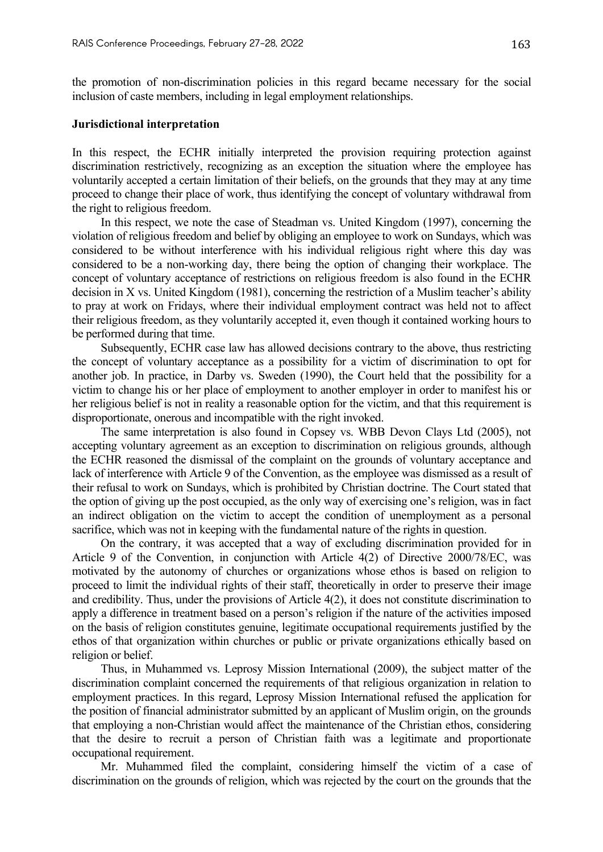the promotion of non-discrimination policies in this regard became necessary for the social inclusion of caste members, including in legal employment relationships.

#### **Jurisdictional interpretation**

In this respect, the ECHR initially interpreted the provision requiring protection against discrimination restrictively, recognizing as an exception the situation where the employee has voluntarily accepted a certain limitation of their beliefs, on the grounds that they may at any time proceed to change their place of work, thus identifying the concept of voluntary withdrawal from the right to religious freedom.

In this respect, we note the case of Steadman vs. United Kingdom (1997), concerning the violation of religious freedom and belief by obliging an employee to work on Sundays, which was considered to be without interference with his individual religious right where this day was considered to be a non-working day, there being the option of changing their workplace. The concept of voluntary acceptance of restrictions on religious freedom is also found in the ECHR decision in X vs. United Kingdom (1981), concerning the restriction of a Muslim teacher's ability to pray at work on Fridays, where their individual employment contract was held not to affect their religious freedom, as they voluntarily accepted it, even though it contained working hours to be performed during that time.

Subsequently, ECHR case law has allowed decisions contrary to the above, thus restricting the concept of voluntary acceptance as a possibility for a victim of discrimination to opt for another job. In practice, in Darby vs. Sweden (1990), the Court held that the possibility for a victim to change his or her place of employment to another employer in order to manifest his or her religious belief is not in reality a reasonable option for the victim, and that this requirement is disproportionate, onerous and incompatible with the right invoked.

The same interpretation is also found in Copsey vs. WBB Devon Clays Ltd (2005), not accepting voluntary agreement as an exception to discrimination on religious grounds, although the ECHR reasoned the dismissal of the complaint on the grounds of voluntary acceptance and lack of interference with Article 9 of the Convention, as the employee was dismissed as a result of their refusal to work on Sundays, which is prohibited by Christian doctrine. The Court stated that the option of giving up the post occupied, as the only way of exercising one's religion, was in fact an indirect obligation on the victim to accept the condition of unemployment as a personal sacrifice, which was not in keeping with the fundamental nature of the rights in question.

On the contrary, it was accepted that a way of excluding discrimination provided for in Article 9 of the Convention, in conjunction with Article 4(2) of Directive 2000/78/EC, was motivated by the autonomy of churches or organizations whose ethos is based on religion to proceed to limit the individual rights of their staff, theoretically in order to preserve their image and credibility. Thus, under the provisions of Article 4(2), it does not constitute discrimination to apply a difference in treatment based on a person's religion if the nature of the activities imposed on the basis of religion constitutes genuine, legitimate occupational requirements justified by the ethos of that organization within churches or public or private organizations ethically based on religion or belief.

Thus, in Muhammed vs. Leprosy Mission International (2009), the subject matter of the discrimination complaint concerned the requirements of that religious organization in relation to employment practices. In this regard, Leprosy Mission International refused the application for the position of financial administrator submitted by an applicant of Muslim origin, on the grounds that employing a non-Christian would affect the maintenance of the Christian ethos, considering that the desire to recruit a person of Christian faith was a legitimate and proportionate occupational requirement.

Mr. Muhammed filed the complaint, considering himself the victim of a case of discrimination on the grounds of religion, which was rejected by the court on the grounds that the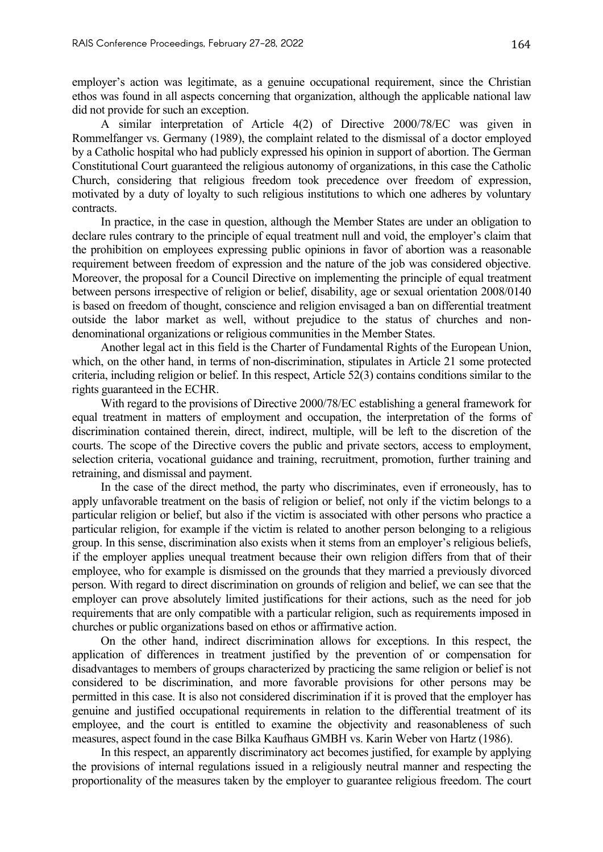employer's action was legitimate, as a genuine occupational requirement, since the Christian ethos was found in all aspects concerning that organization, although the applicable national law did not provide for such an exception.

A similar interpretation of Article 4(2) of Directive 2000/78/EC was given in Rommelfanger vs. Germany (1989), the complaint related to the dismissal of a doctor employed by a Catholic hospital who had publicly expressed his opinion in support of abortion. The German Constitutional Court guaranteed the religious autonomy of organizations, in this case the Catholic Church, considering that religious freedom took precedence over freedom of expression, motivated by a duty of loyalty to such religious institutions to which one adheres by voluntary contracts.

In practice, in the case in question, although the Member States are under an obligation to declare rules contrary to the principle of equal treatment null and void, the employer's claim that the prohibition on employees expressing public opinions in favor of abortion was a reasonable requirement between freedom of expression and the nature of the job was considered objective. Moreover, the proposal for a Council Directive on implementing the principle of equal treatment between persons irrespective of religion or belief, disability, age or sexual orientation 2008/0140 is based on freedom of thought, conscience and religion envisaged a ban on differential treatment outside the labor market as well, without prejudice to the status of churches and nondenominational organizations or religious communities in the Member States.

Another legal act in this field is the Charter of Fundamental Rights of the European Union, which, on the other hand, in terms of non-discrimination, stipulates in Article 21 some protected criteria, including religion or belief. In this respect, Article 52(3) contains conditions similar to the rights guaranteed in the ECHR.

With regard to the provisions of Directive 2000/78/EC establishing a general framework for equal treatment in matters of employment and occupation, the interpretation of the forms of discrimination contained therein, direct, indirect, multiple, will be left to the discretion of the courts. The scope of the Directive covers the public and private sectors, access to employment, selection criteria, vocational guidance and training, recruitment, promotion, further training and retraining, and dismissal and payment.

In the case of the direct method, the party who discriminates, even if erroneously, has to apply unfavorable treatment on the basis of religion or belief, not only if the victim belongs to a particular religion or belief, but also if the victim is associated with other persons who practice a particular religion, for example if the victim is related to another person belonging to a religious group. In this sense, discrimination also exists when it stems from an employer's religious beliefs, if the employer applies unequal treatment because their own religion differs from that of their employee, who for example is dismissed on the grounds that they married a previously divorced person. With regard to direct discrimination on grounds of religion and belief, we can see that the employer can prove absolutely limited justifications for their actions, such as the need for job requirements that are only compatible with a particular religion, such as requirements imposed in churches or public organizations based on ethos or affirmative action.

On the other hand, indirect discrimination allows for exceptions. In this respect, the application of differences in treatment justified by the prevention of or compensation for disadvantages to members of groups characterized by practicing the same religion or belief is not considered to be discrimination, and more favorable provisions for other persons may be permitted in this case. It is also not considered discrimination if it is proved that the employer has genuine and justified occupational requirements in relation to the differential treatment of its employee, and the court is entitled to examine the objectivity and reasonableness of such measures, aspect found in the case Bilka Kaufhaus GMBH vs. Karin Weber von Hartz (1986).

In this respect, an apparently discriminatory act becomes justified, for example by applying the provisions of internal regulations issued in a religiously neutral manner and respecting the proportionality of the measures taken by the employer to guarantee religious freedom. The court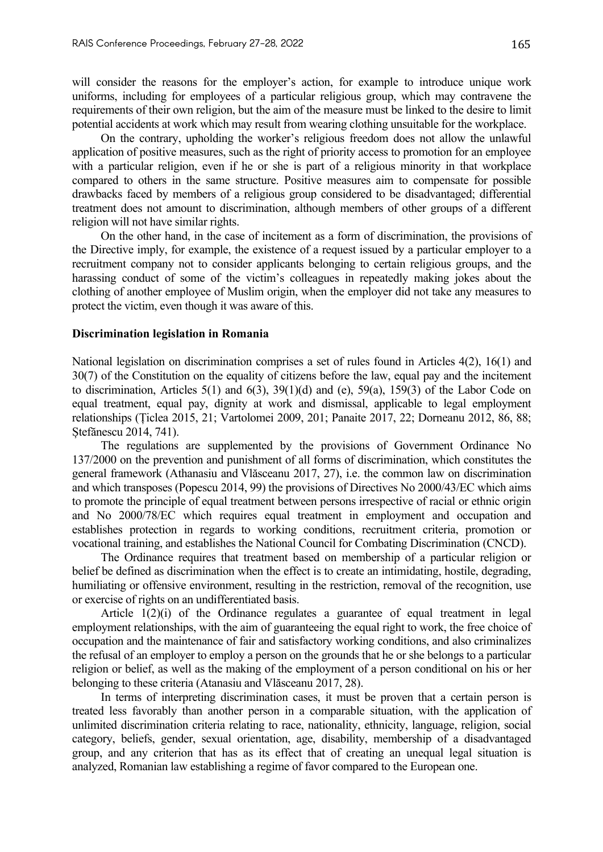will consider the reasons for the employer's action, for example to introduce unique work uniforms, including for employees of a particular religious group, which may contravene the requirements of their own religion, but the aim of the measure must be linked to the desire to limit potential accidents at work which may result from wearing clothing unsuitable for the workplace.

On the contrary, upholding the worker's religious freedom does not allow the unlawful application of positive measures, such as the right of priority access to promotion for an employee with a particular religion, even if he or she is part of a religious minority in that workplace compared to others in the same structure. Positive measures aim to compensate for possible drawbacks faced by members of a religious group considered to be disadvantaged; differential treatment does not amount to discrimination, although members of other groups of a different religion will not have similar rights.

On the other hand, in the case of incitement as a form of discrimination, the provisions of the Directive imply, for example, the existence of a request issued by a particular employer to a recruitment company not to consider applicants belonging to certain religious groups, and the harassing conduct of some of the victim's colleagues in repeatedly making jokes about the clothing of another employee of Muslim origin, when the employer did not take any measures to protect the victim, even though it was aware of this.

## **Discrimination legislation in Romania**

National legislation on discrimination comprises a set of rules found in Articles 4(2), 16(1) and 30(7) of the Constitution on the equality of citizens before the law, equal pay and the incitement to discrimination, Articles  $5(1)$  and  $6(3)$ ,  $39(1)(d)$  and (e),  $59(a)$ ,  $159(3)$  of the Labor Code on equal treatment, equal pay, dignity at work and dismissal, applicable to legal employment relationships (Țiclea 2015, 21; Vartolomei 2009, 201; Panaite 2017, 22; Dorneanu 2012, 86, 88; Ștefănescu 2014, 741).

The regulations are supplemented by the provisions of Government Ordinance No 137/2000 on the prevention and punishment of all forms of discrimination, which constitutes the general framework (Athanasiu and Vlăsceanu 2017, 27), i.e. the common law on discrimination and which transposes (Popescu 2014, 99) the provisions of Directives No 2000/43/EC which aims to promote the principle of equal treatment between persons irrespective of racial or ethnic origin and No 2000/78/EC which requires equal treatment in employment and occupation and establishes protection in regards to working conditions, recruitment criteria, promotion or vocational training, and establishes the National Council for Combating Discrimination (CNCD).

The Ordinance requires that treatment based on membership of a particular religion or belief be defined as discrimination when the effect is to create an intimidating, hostile, degrading, humiliating or offensive environment, resulting in the restriction, removal of the recognition, use or exercise of rights on an undifferentiated basis.

Article 1(2)(i) of the Ordinance regulates a guarantee of equal treatment in legal employment relationships, with the aim of guaranteeing the equal right to work, the free choice of occupation and the maintenance of fair and satisfactory working conditions, and also criminalizes the refusal of an employer to employ a person on the grounds that he or she belongs to a particular religion or belief, as well as the making of the employment of a person conditional on his or her belonging to these criteria (Atanasiu and Vlăsceanu 2017, 28).

In terms of interpreting discrimination cases, it must be proven that a certain person is treated less favorably than another person in a comparable situation, with the application of unlimited discrimination criteria relating to race, nationality, ethnicity, language, religion, social category, beliefs, gender, sexual orientation, age, disability, membership of a disadvantaged group, and any criterion that has as its effect that of creating an unequal legal situation is analyzed, Romanian law establishing a regime of favor compared to the European one.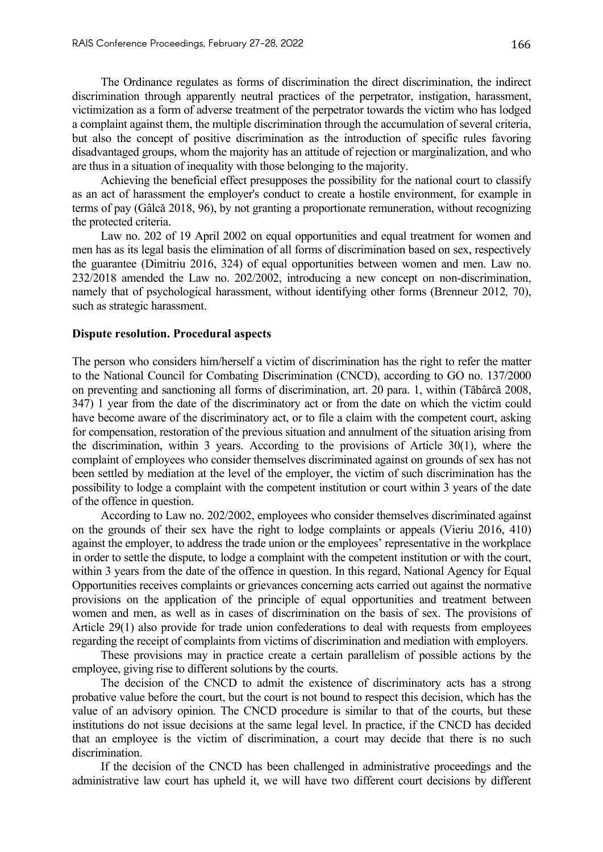The Ordinance regulates as forms of discrimination the direct discrimination, the indirect discrimination through apparently neutral practices of the perpetrator, instigation, harassment, victimization as a form of adverse treatment of the perpetrator towards the victim who has lodged a complaint against them, the multiple discrimination through the accumulation of several criteria, but also the concept of positive discrimination as the introduction of specific rules favoring disadvantaged groups, whom the majority has an attitude of rejection or marginalization, and who are thus in a situation of inequality with those belonging to the majority.

Achieving the beneficial effect presupposes the possibility for the national court to classify as an act of harassment the employer's conduct to create a hostile environment, for example in terms of pay (Gâlcă 2018, 96), by not granting a proportionate remuneration, without recognizing the protected criteria.

Law no. 202 of 19 April 2002 on equal opportunities and equal treatment for women and men has as its legal basis the elimination of all forms of discrimination based on sex, respectively the guarantee (Dimitriu 2016, 324) of equal opportunities between women and men. Law no. 232/2018 amended the Law no. 202/2002, introducing a new concept on non-discrimination, namely that of psychological harassment, without identifying other forms (Brenneur 2012*,* 70), such as strategic harassment.

#### **Dispute resolution. Procedural aspects**

The person who considers him/herself a victim of discrimination has the right to refer the matter to the National Council for Combating Discrimination (CNCD), according to GO no. 137/2000 on preventing and sanctioning all forms of discrimination, art. 20 para. 1, within (Tăbârcă 2008, 347) 1 year from the date of the discriminatory act or from the date on which the victim could have become aware of the discriminatory act, or to file a claim with the competent court, asking for compensation, restoration of the previous situation and annulment of the situation arising from the discrimination, within 3 years. According to the provisions of Article 30(1), where the complaint of employees who consider themselves discriminated against on grounds of sex has not been settled by mediation at the level of the employer, the victim of such discrimination has the possibility to lodge a complaint with the competent institution or court within 3 years of the date of the offence in question.

According to Law no. 202/2002, employees who consider themselves discriminated against on the grounds of their sex have the right to lodge complaints or appeals (Vieriu 2016, 410) against the employer, to address the trade union or the employees' representative in the workplace in order to settle the dispute, to lodge a complaint with the competent institution or with the court, within 3 years from the date of the offence in question. In this regard, National Agency for Equal Opportunities receives complaints or grievances concerning acts carried out against the normative provisions on the application of the principle of equal opportunities and treatment between women and men, as well as in cases of discrimination on the basis of sex. The provisions of Article 29(1) also provide for trade union confederations to deal with requests from employees regarding the receipt of complaints from victims of discrimination and mediation with employers.

These provisions may in practice create a certain parallelism of possible actions by the employee, giving rise to different solutions by the courts.

The decision of the CNCD to admit the existence of discriminatory acts has a strong probative value before the court, but the court is not bound to respect this decision, which has the value of an advisory opinion. The CNCD procedure is similar to that of the courts, but these institutions do not issue decisions at the same legal level. In practice, if the CNCD has decided that an employee is the victim of discrimination, a court may decide that there is no such discrimination.

If the decision of the CNCD has been challenged in administrative proceedings and the administrative law court has upheld it, we will have two different court decisions by different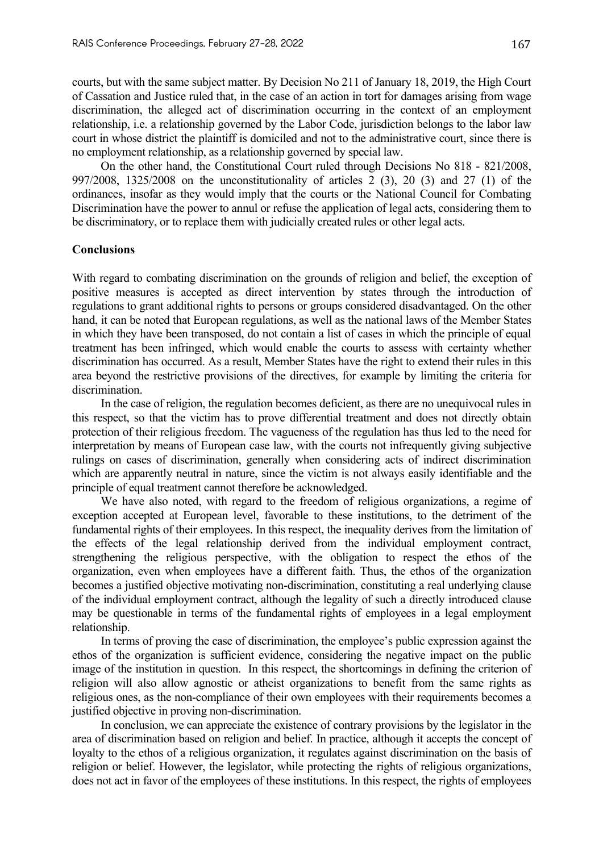courts, but with the same subject matter. By Decision No 211 of January 18, 2019, the High Court of Cassation and Justice ruled that, in the case of an action in tort for damages arising from wage discrimination, the alleged act of discrimination occurring in the context of an employment relationship, i.e. a relationship governed by the Labor Code, jurisdiction belongs to the labor law court in whose district the plaintiff is domiciled and not to the administrative court, since there is no employment relationship, as a relationship governed by special law.

On the other hand, the Constitutional Court ruled through Decisions No 818 - 821/2008, 997/2008, 1325/2008 on the unconstitutionality of articles 2 (3), 20 (3) and 27 (1) of the ordinances, insofar as they would imply that the courts or the National Council for Combating Discrimination have the power to annul or refuse the application of legal acts, considering them to be discriminatory, or to replace them with judicially created rules or other legal acts.

# **Conclusions**

With regard to combating discrimination on the grounds of religion and belief, the exception of positive measures is accepted as direct intervention by states through the introduction of regulations to grant additional rights to persons or groups considered disadvantaged. On the other hand, it can be noted that European regulations, as well as the national laws of the Member States in which they have been transposed, do not contain a list of cases in which the principle of equal treatment has been infringed, which would enable the courts to assess with certainty whether discrimination has occurred. As a result, Member States have the right to extend their rules in this area beyond the restrictive provisions of the directives, for example by limiting the criteria for discrimination.

In the case of religion, the regulation becomes deficient, as there are no unequivocal rules in this respect, so that the victim has to prove differential treatment and does not directly obtain protection of their religious freedom. The vagueness of the regulation has thus led to the need for interpretation by means of European case law, with the courts not infrequently giving subjective rulings on cases of discrimination, generally when considering acts of indirect discrimination which are apparently neutral in nature, since the victim is not always easily identifiable and the principle of equal treatment cannot therefore be acknowledged.

We have also noted, with regard to the freedom of religious organizations, a regime of exception accepted at European level, favorable to these institutions, to the detriment of the fundamental rights of their employees. In this respect, the inequality derives from the limitation of the effects of the legal relationship derived from the individual employment contract, strengthening the religious perspective, with the obligation to respect the ethos of the organization, even when employees have a different faith. Thus, the ethos of the organization becomes a justified objective motivating non-discrimination, constituting a real underlying clause of the individual employment contract, although the legality of such a directly introduced clause may be questionable in terms of the fundamental rights of employees in a legal employment relationship.

In terms of proving the case of discrimination, the employee's public expression against the ethos of the organization is sufficient evidence, considering the negative impact on the public image of the institution in question. In this respect, the shortcomings in defining the criterion of religion will also allow agnostic or atheist organizations to benefit from the same rights as religious ones, as the non-compliance of their own employees with their requirements becomes a justified objective in proving non-discrimination.

In conclusion, we can appreciate the existence of contrary provisions by the legislator in the area of discrimination based on religion and belief. In practice, although it accepts the concept of loyalty to the ethos of a religious organization, it regulates against discrimination on the basis of religion or belief. However, the legislator, while protecting the rights of religious organizations, does not act in favor of the employees of these institutions. In this respect, the rights of employees